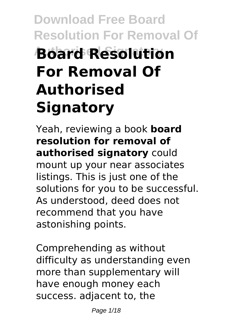# **Download Free Board Resolution For Removal Of Authorised Signatory Board Resolution For Removal Of Authorised Signatory**

Yeah, reviewing a book **board resolution for removal of authorised signatory** could mount up your near associates listings. This is just one of the solutions for you to be successful. As understood, deed does not recommend that you have astonishing points.

Comprehending as without difficulty as understanding even more than supplementary will have enough money each success. adjacent to, the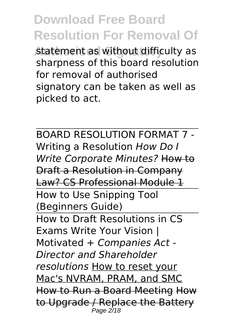statement as without difficulty as sharpness of this board resolution for removal of authorised signatory can be taken as well as picked to act.

BOARD RESOLUTION FORMAT 7 - Writing a Resolution *How Do I Write Corporate Minutes?* How to Draft a Resolution in Company Law? CS Professional Module 1 How to Use Snipping Tool (Beginners Guide) How to Draft Resolutions in CS Exams Write Your Vision | Motivated + *Companies Act - Director and Shareholder resolutions* How to reset your Mac's NVRAM, PRAM, and SMC How to Run a Board Meeting How to Upgrade / Replace the Battery Page 2/18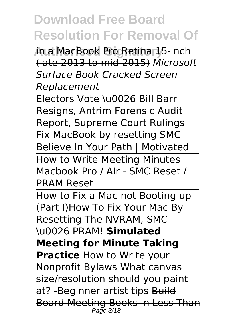**Authorised Signatory** in a MacBook Pro Retina 15-inch (late 2013 to mid 2015) *Microsoft Surface Book Cracked Screen Replacement*

Electors Vote \u0026 Bill Barr Resigns, Antrim Forensic Audit Report, Supreme Court Rulings Fix MacBook by resetting SMC Believe In Your Path | Motivated How to Write Meeting Minutes Macbook Pro / AIr - SMC Reset / PRAM Reset

How to Fix a Mac not Booting up (Part I)How To Fix Your Mac By Resetting The NVRAM, SMC \u0026 PRAM! **Simulated Meeting for Minute Taking Practice** How to Write your Nonprofit Bylaws What canvas size/resolution should you paint at? - Beginner artist tips Build Board Meeting Books in Less Than Page 3/18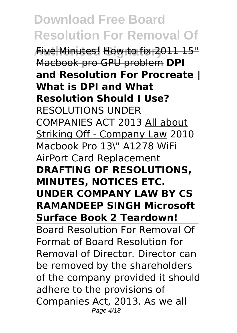**Authorised Signatory** Five Minutes! How to fix 2011 15'' Macbook pro GPU problem **DPI and Resolution For Procreate | What is DPI and What Resolution Should I Use?** RESOLUTIONS UNDER COMPANIES ACT 2013 All about Striking Off - Company Law 2010 Macbook Pro 13\" A1278 WiFi AirPort Card Replacement **DRAFTING OF RESOLUTIONS, MINUTES, NOTICES ETC. UNDER COMPANY LAW BY CS RAMANDEEP SINGH Microsoft Surface Book 2 Teardown!** Board Resolution For Removal Of Format of Board Resolution for Removal of Director. Director can be removed by the shareholders of the company provided it should adhere to the provisions of Companies Act, 2013. As we all Page 4/18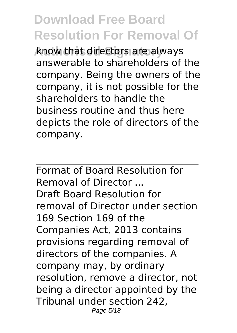**Authorised Signatory** know that directors are always answerable to shareholders of the company. Being the owners of the company, it is not possible for the shareholders to handle the business routine and thus here depicts the role of directors of the company.

Format of Board Resolution for Removal of Director ... Draft Board Resolution for removal of Director under section 169 Section 169 of the Companies Act, 2013 contains provisions regarding removal of directors of the companies. A company may, by ordinary resolution, remove a director, not being a director appointed by the Tribunal under section 242, Page 5/18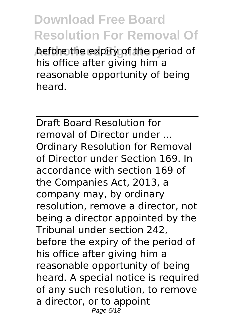before the expiry of the period of his office after giving him a reasonable opportunity of being heard.

Draft Board Resolution for removal of Director under ... Ordinary Resolution for Removal of Director under Section 169. In accordance with section 169 of the Companies Act, 2013, a company may, by ordinary resolution, remove a director, not being a director appointed by the Tribunal under section 242, before the expiry of the period of his office after giving him a reasonable opportunity of being heard. A special notice is required of any such resolution, to remove a director, or to appoint Page 6/18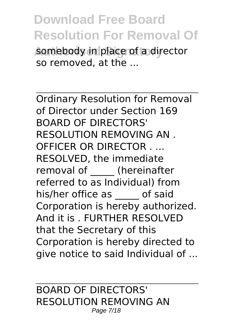**Authorised Signatory** somebody in place of a director so removed, at the ...

Ordinary Resolution for Removal of Director under Section 169 BOARD OF DIRECTORS' RESOLUTION REMOVING AN . OFFICER OR DIRECTOR . ... RESOLVED, the immediate removal of **the (hereinafter** referred to as Individual) from his/her office as \_\_\_\_\_ of said Corporation is hereby authorized. And it is . FURTHER RESOLVED that the Secretary of this Corporation is hereby directed to give notice to said Individual of ...

BOARD OF DIRECTORS' RESOLUTION REMOVING AN Page 7/18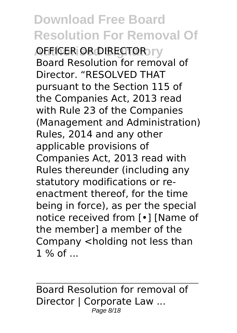**ADEFICER OR DIRECTOR TV** Board Resolution for removal of Director. "RESOLVED THAT pursuant to the Section 115 of the Companies Act, 2013 read with Rule 23 of the Companies (Management and Administration) Rules, 2014 and any other applicable provisions of Companies Act, 2013 read with Rules thereunder (including any statutory modifications or reenactment thereof, for the time being in force), as per the special notice received from [•] [Name of the member] a member of the Company <holding not less than 1 % of ...

Board Resolution for removal of Director | Corporate Law ... Page 8/18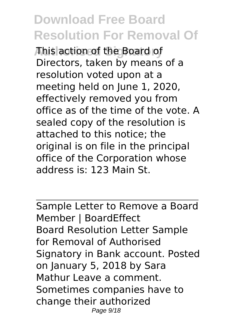**Authorised Signatory** This action of the Board of Directors, taken by means of a resolution voted upon at a meeting held on June 1, 2020, effectively removed you from office as of the time of the vote. A sealed copy of the resolution is attached to this notice; the original is on file in the principal office of the Corporation whose address is: 123 Main St.

Sample Letter to Remove a Board Member | BoardEffect Board Resolution Letter Sample for Removal of Authorised Signatory in Bank account. Posted on January 5, 2018 by Sara Mathur Leave a comment. Sometimes companies have to change their authorized Page 9/18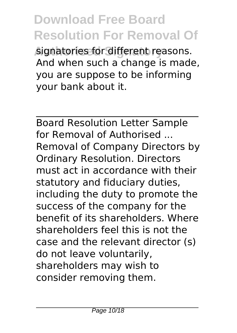**Authorised Signatory** signatories for different reasons. And when such a change is made, you are suppose to be informing your bank about it.

Board Resolution Letter Sample for Removal of Authorised ... Removal of Company Directors by Ordinary Resolution. Directors must act in accordance with their statutory and fiduciary duties, including the duty to promote the success of the company for the benefit of its shareholders. Where shareholders feel this is not the case and the relevant director (s) do not leave voluntarily, shareholders may wish to consider removing them.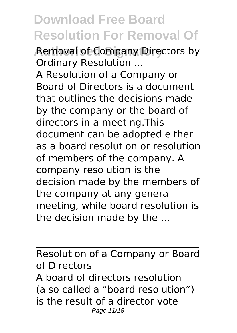**Removal of Company Directors by** Ordinary Resolution ...

A Resolution of a Company or Board of Directors is a document that outlines the decisions made by the company or the board of directors in a meeting.This document can be adopted either as a board resolution or resolution of members of the company. A company resolution is the decision made by the members of the company at any general meeting, while board resolution is the decision made by the ...

Resolution of a Company or Board of Directors A board of directors resolution (also called a "board resolution") is the result of a director vote Page 11/18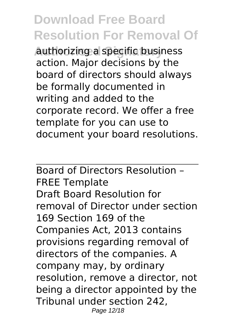**Authorised Signatory** authorizing a specific business action. Major decisions by the board of directors should always be formally documented in writing and added to the corporate record. We offer a free template for you can use to document your board resolutions.

Board of Directors Resolution – FREE Template Draft Board Resolution for removal of Director under section 169 Section 169 of the Companies Act, 2013 contains provisions regarding removal of directors of the companies. A company may, by ordinary resolution, remove a director, not being a director appointed by the Tribunal under section 242, Page 12/18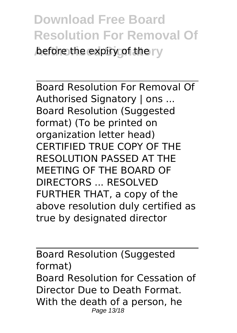**Download Free Board Resolution For Removal Of before the expiry of the rv** 

Board Resolution For Removal Of Authorised Signatory | ons ... Board Resolution (Suggested format) (To be printed on organization letter head) CERTIFIED TRUE COPY OF THE RESOLUTION PASSED AT THE MEETING OF THE BOARD OF DIRECTORS ... RESOLVED FURTHER THAT, a copy of the above resolution duly certified as true by designated director

Board Resolution (Suggested format) Board Resolution for Cessation of Director Due to Death Format. With the death of a person, he Page 13/18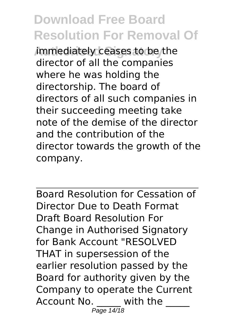**Authorized Signator immediately ceases to be the** director of all the companies where he was holding the directorship. The board of directors of all such companies in their succeeding meeting take note of the demise of the director and the contribution of the director towards the growth of the company.

Board Resolution for Cessation of Director Due to Death Format Draft Board Resolution For Change in Authorised Signatory for Bank Account "RESOLVED THAT in supersession of the earlier resolution passed by the Board for authority given by the Company to operate the Current Account No. with the Page 14/18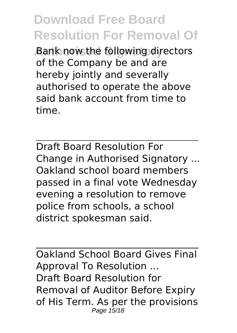**Bank now the following directors** of the Company be and are hereby jointly and severally authorised to operate the above said bank account from time to time.

Draft Board Resolution For Change in Authorised Signatory ... Oakland school board members passed in a final vote Wednesday evening a resolution to remove police from schools, a school district spokesman said.

Oakland School Board Gives Final Approval To Resolution ... Draft Board Resolution for Removal of Auditor Before Expiry of His Term. As per the provisions Page 15/18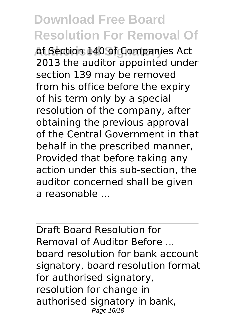of Section 140 of Companies Act 2013 the auditor appointed under section 139 may be removed from his office before the expiry of his term only by a special resolution of the company, after obtaining the previous approval of the Central Government in that behalf in the prescribed manner, Provided that before taking any action under this sub-section, the auditor concerned shall be given a reasonable

Draft Board Resolution for Removal of Auditor Before ... board resolution for bank account signatory, board resolution format for authorised signatory, resolution for change in authorised signatory in bank, Page 16/18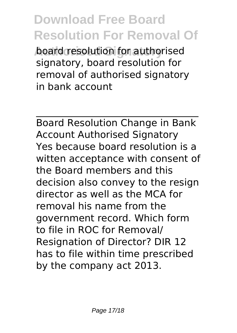**board resolution for authorised** signatory, board resolution for removal of authorised signatory in bank account

Board Resolution Change in Bank Account Authorised Signatory Yes because board resolution is a witten acceptance with consent of the Board members and this decision also convey to the resign director as well as the MCA for removal his name from the government record. Which form to file in ROC for Removal/ Resignation of Director? DIR 12 has to file within time prescribed by the company act 2013.